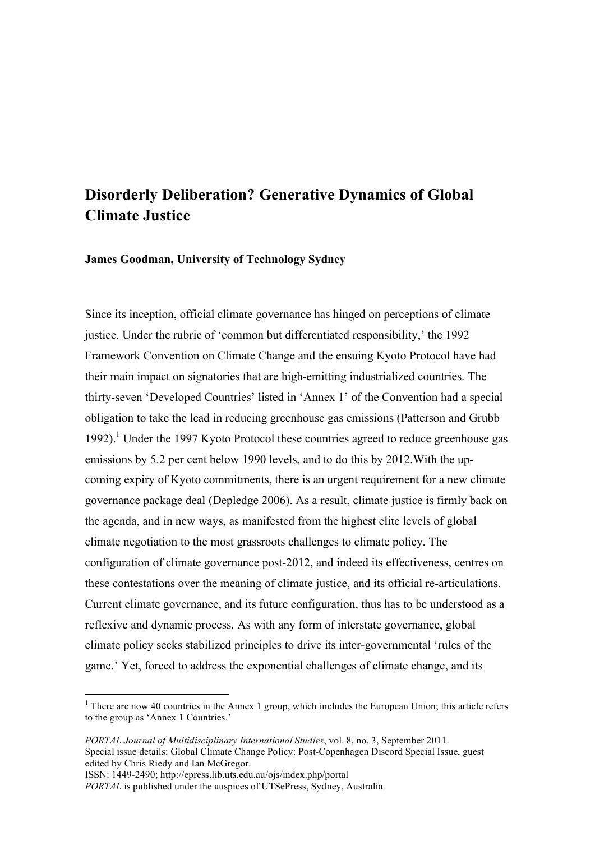# **Disorderly Deliberation? Generative Dynamics of Global Climate Justice**

**James Goodman, University of Technology Sydney**

Since its inception, official climate governance has hinged on perceptions of climate justice. Under the rubric of 'common but differentiated responsibility,' the 1992 Framework Convention on Climate Change and the ensuing Kyoto Protocol have had their main impact on signatories that are high-emitting industrialized countries. The thirty-seven 'Developed Countries' listed in 'Annex 1' of the Convention had a special obligation to take the lead in reducing greenhouse gas emissions (Patterson and Grubb 1992).<sup>1</sup> Under the 1997 Kyoto Protocol these countries agreed to reduce greenhouse gas emissions by 5.2 per cent below 1990 levels, and to do this by 2012.With the upcoming expiry of Kyoto commitments, there is an urgent requirement for a new climate governance package deal (Depledge 2006). As a result, climate justice is firmly back on the agenda, and in new ways, as manifested from the highest elite levels of global climate negotiation to the most grassroots challenges to climate policy. The configuration of climate governance post-2012, and indeed its effectiveness, centres on these contestations over the meaning of climate justice, and its official re-articulations. Current climate governance, and its future configuration, thus has to be understood as a reflexive and dynamic process. As with any form of interstate governance, global climate policy seeks stabilized principles to drive its inter-governmental 'rules of the game.' Yet, forced to address the exponential challenges of climate change, and its

 $\frac{1}{1}$  $1$  There are now 40 countries in the Annex 1 group, which includes the European Union; this article refers to the group as 'Annex 1 Countries.'

*PORTAL Journal of Multidisciplinary International Studies*, vol. 8, no. 3, September 2011. Special issue details: Global Climate Change Policy: Post-Copenhagen Discord Special Issue, guest edited by Chris Riedy and Ian McGregor.

ISSN: 1449-2490; http://epress.lib.uts.edu.au/ojs/index.php/portal

*PORTAL* is published under the auspices of UTSePress, Sydney, Australia.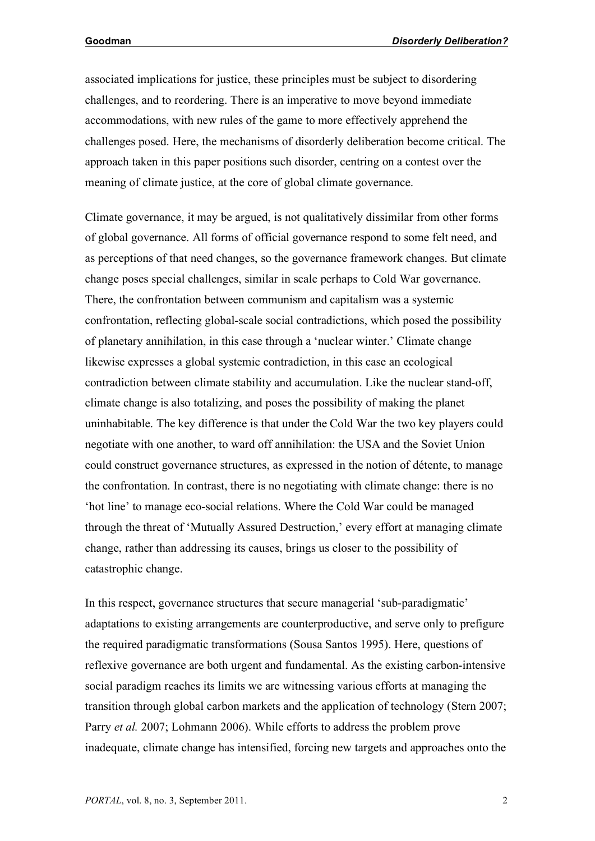associated implications for justice, these principles must be subject to disordering challenges, and to reordering. There is an imperative to move beyond immediate accommodations, with new rules of the game to more effectively apprehend the challenges posed. Here, the mechanisms of disorderly deliberation become critical. The approach taken in this paper positions such disorder, centring on a contest over the meaning of climate justice, at the core of global climate governance.

Climate governance, it may be argued, is not qualitatively dissimilar from other forms of global governance. All forms of official governance respond to some felt need, and as perceptions of that need changes, so the governance framework changes. But climate change poses special challenges, similar in scale perhaps to Cold War governance. There, the confrontation between communism and capitalism was a systemic confrontation, reflecting global-scale social contradictions, which posed the possibility of planetary annihilation, in this case through a 'nuclear winter.' Climate change likewise expresses a global systemic contradiction, in this case an ecological contradiction between climate stability and accumulation. Like the nuclear stand-off, climate change is also totalizing, and poses the possibility of making the planet uninhabitable. The key difference is that under the Cold War the two key players could negotiate with one another, to ward off annihilation: the USA and the Soviet Union could construct governance structures, as expressed in the notion of détente, to manage the confrontation. In contrast, there is no negotiating with climate change: there is no 'hot line' to manage eco-social relations. Where the Cold War could be managed through the threat of 'Mutually Assured Destruction,' every effort at managing climate change, rather than addressing its causes, brings us closer to the possibility of catastrophic change.

In this respect, governance structures that secure managerial 'sub-paradigmatic' adaptations to existing arrangements are counterproductive, and serve only to prefigure the required paradigmatic transformations (Sousa Santos 1995). Here, questions of reflexive governance are both urgent and fundamental. As the existing carbon-intensive social paradigm reaches its limits we are witnessing various efforts at managing the transition through global carbon markets and the application of technology (Stern 2007; Parry *et al.* 2007; Lohmann 2006). While efforts to address the problem prove inadequate, climate change has intensified, forcing new targets and approaches onto the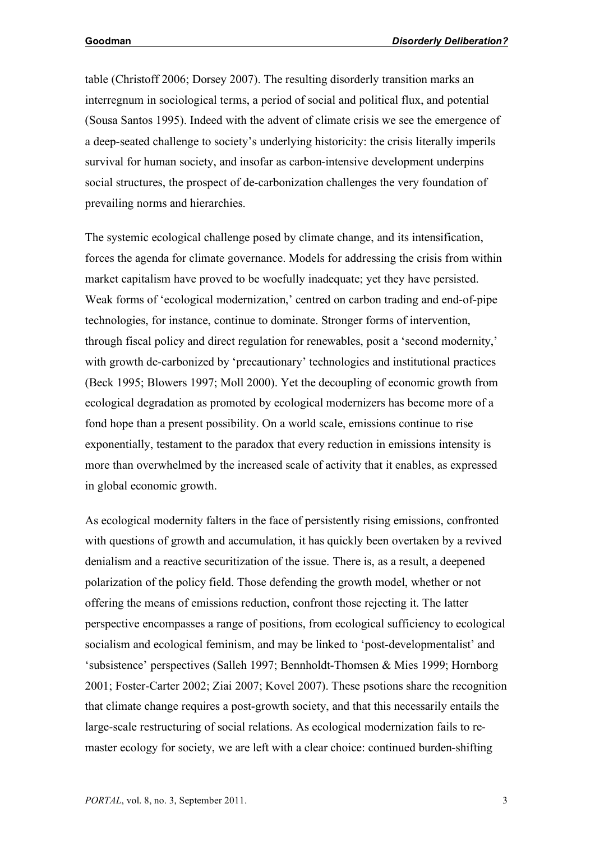table (Christoff 2006; Dorsey 2007). The resulting disorderly transition marks an interregnum in sociological terms, a period of social and political flux, and potential (Sousa Santos 1995). Indeed with the advent of climate crisis we see the emergence of a deep-seated challenge to society's underlying historicity: the crisis literally imperils survival for human society, and insofar as carbon-intensive development underpins social structures, the prospect of de-carbonization challenges the very foundation of prevailing norms and hierarchies.

The systemic ecological challenge posed by climate change, and its intensification, forces the agenda for climate governance. Models for addressing the crisis from within market capitalism have proved to be woefully inadequate; yet they have persisted. Weak forms of 'ecological modernization,' centred on carbon trading and end-of-pipe technologies, for instance, continue to dominate. Stronger forms of intervention, through fiscal policy and direct regulation for renewables, posit a 'second modernity,' with growth de-carbonized by 'precautionary' technologies and institutional practices (Beck 1995; Blowers 1997; Moll 2000). Yet the decoupling of economic growth from ecological degradation as promoted by ecological modernizers has become more of a fond hope than a present possibility. On a world scale, emissions continue to rise exponentially, testament to the paradox that every reduction in emissions intensity is more than overwhelmed by the increased scale of activity that it enables, as expressed in global economic growth.

As ecological modernity falters in the face of persistently rising emissions, confronted with questions of growth and accumulation, it has quickly been overtaken by a revived denialism and a reactive securitization of the issue. There is, as a result, a deepened polarization of the policy field. Those defending the growth model, whether or not offering the means of emissions reduction, confront those rejecting it. The latter perspective encompasses a range of positions, from ecological sufficiency to ecological socialism and ecological feminism, and may be linked to 'post-developmentalist' and 'subsistence' perspectives (Salleh 1997; Bennholdt-Thomsen & Mies 1999; Hornborg 2001; Foster-Carter 2002; Ziai 2007; Kovel 2007). These psotions share the recognition that climate change requires a post-growth society, and that this necessarily entails the large-scale restructuring of social relations. As ecological modernization fails to remaster ecology for society, we are left with a clear choice: continued burden-shifting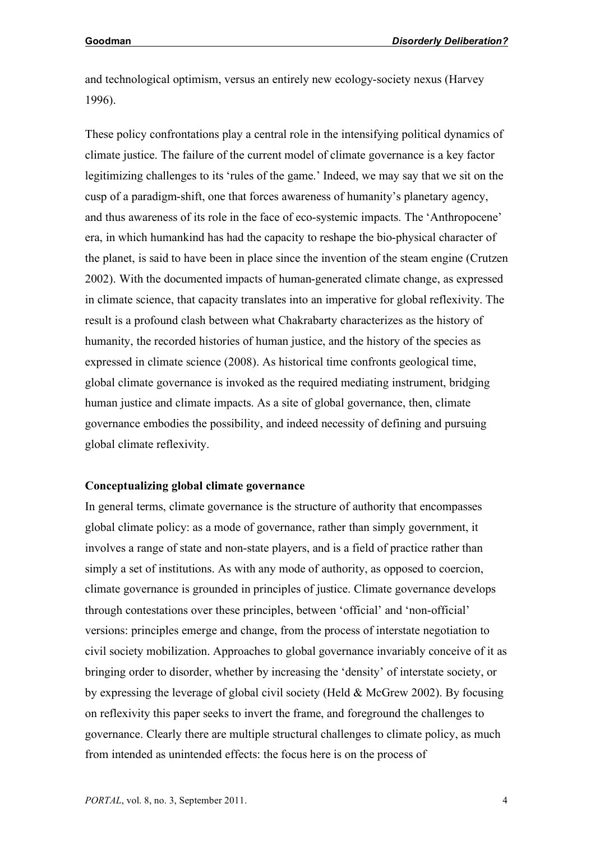and technological optimism, versus an entirely new ecology-society nexus (Harvey 1996).

These policy confrontations play a central role in the intensifying political dynamics of climate justice. The failure of the current model of climate governance is a key factor legitimizing challenges to its 'rules of the game.' Indeed, we may say that we sit on the cusp of a paradigm-shift, one that forces awareness of humanity's planetary agency, and thus awareness of its role in the face of eco-systemic impacts. The 'Anthropocene' era, in which humankind has had the capacity to reshape the bio-physical character of the planet, is said to have been in place since the invention of the steam engine (Crutzen 2002). With the documented impacts of human-generated climate change, as expressed in climate science, that capacity translates into an imperative for global reflexivity. The result is a profound clash between what Chakrabarty characterizes as the history of humanity, the recorded histories of human justice, and the history of the species as expressed in climate science (2008). As historical time confronts geological time, global climate governance is invoked as the required mediating instrument, bridging human justice and climate impacts. As a site of global governance, then, climate governance embodies the possibility, and indeed necessity of defining and pursuing global climate reflexivity.

### **Conceptualizing global climate governance**

In general terms, climate governance is the structure of authority that encompasses global climate policy: as a mode of governance, rather than simply government, it involves a range of state and non-state players, and is a field of practice rather than simply a set of institutions. As with any mode of authority, as opposed to coercion, climate governance is grounded in principles of justice. Climate governance develops through contestations over these principles, between 'official' and 'non-official' versions: principles emerge and change, from the process of interstate negotiation to civil society mobilization. Approaches to global governance invariably conceive of it as bringing order to disorder, whether by increasing the 'density' of interstate society, or by expressing the leverage of global civil society (Held & McGrew 2002). By focusing on reflexivity this paper seeks to invert the frame, and foreground the challenges to governance. Clearly there are multiple structural challenges to climate policy, as much from intended as unintended effects: the focus here is on the process of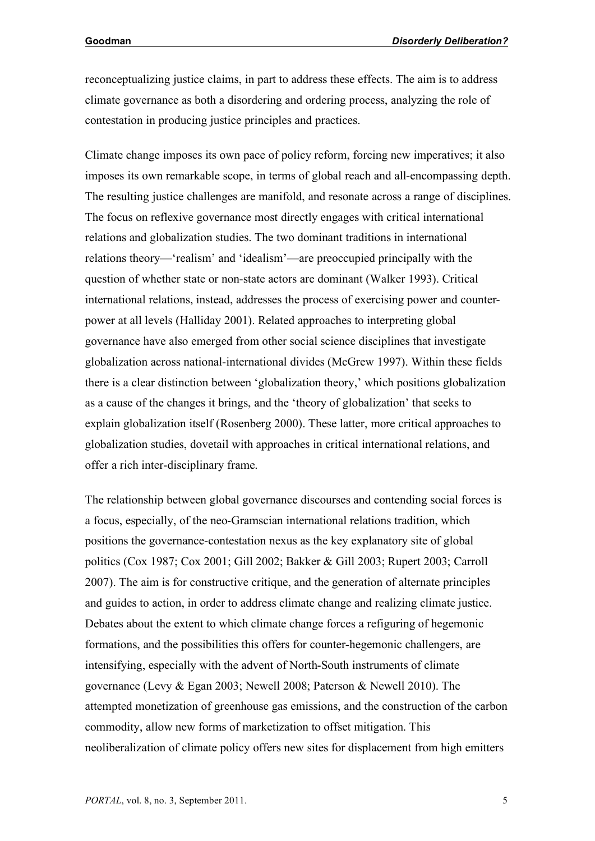reconceptualizing justice claims, in part to address these effects. The aim is to address climate governance as both a disordering and ordering process, analyzing the role of contestation in producing justice principles and practices.

Climate change imposes its own pace of policy reform, forcing new imperatives; it also imposes its own remarkable scope, in terms of global reach and all-encompassing depth. The resulting justice challenges are manifold, and resonate across a range of disciplines. The focus on reflexive governance most directly engages with critical international relations and globalization studies. The two dominant traditions in international relations theory—'realism' and 'idealism'—are preoccupied principally with the question of whether state or non-state actors are dominant (Walker 1993). Critical international relations, instead, addresses the process of exercising power and counterpower at all levels (Halliday 2001). Related approaches to interpreting global governance have also emerged from other social science disciplines that investigate globalization across national-international divides (McGrew 1997). Within these fields there is a clear distinction between 'globalization theory,' which positions globalization as a cause of the changes it brings, and the 'theory of globalization' that seeks to explain globalization itself (Rosenberg 2000). These latter, more critical approaches to globalization studies, dovetail with approaches in critical international relations, and offer a rich inter-disciplinary frame.

The relationship between global governance discourses and contending social forces is a focus, especially, of the neo-Gramscian international relations tradition, which positions the governance-contestation nexus as the key explanatory site of global politics (Cox 1987; Cox 2001; Gill 2002; Bakker & Gill 2003; Rupert 2003; Carroll 2007). The aim is for constructive critique, and the generation of alternate principles and guides to action, in order to address climate change and realizing climate justice. Debates about the extent to which climate change forces a refiguring of hegemonic formations, and the possibilities this offers for counter-hegemonic challengers, are intensifying, especially with the advent of North-South instruments of climate governance (Levy & Egan 2003; Newell 2008; Paterson & Newell 2010). The attempted monetization of greenhouse gas emissions, and the construction of the carbon commodity, allow new forms of marketization to offset mitigation. This neoliberalization of climate policy offers new sites for displacement from high emitters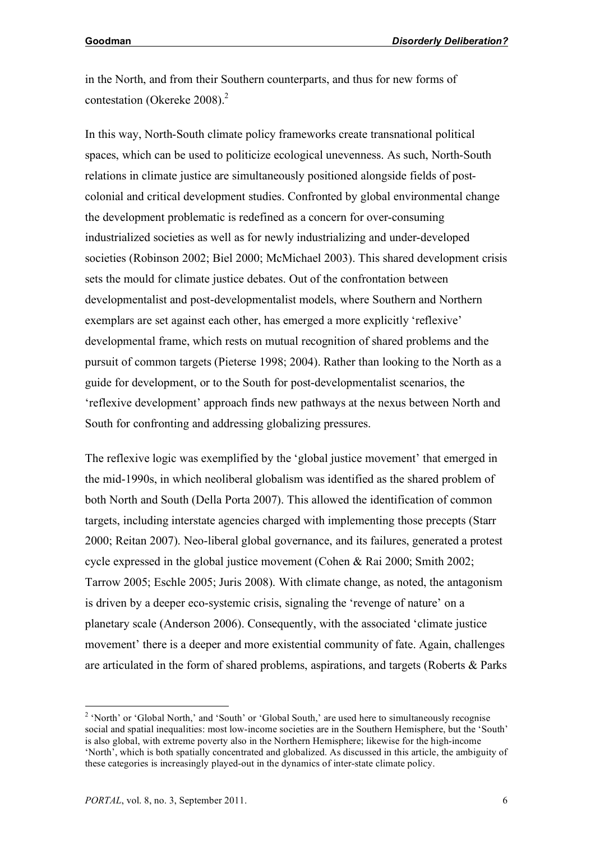in the North, and from their Southern counterparts, and thus for new forms of contestation (Okereke 2008). $^{2}$ 

In this way, North-South climate policy frameworks create transnational political spaces, which can be used to politicize ecological unevenness. As such, North-South relations in climate justice are simultaneously positioned alongside fields of postcolonial and critical development studies. Confronted by global environmental change the development problematic is redefined as a concern for over-consuming industrialized societies as well as for newly industrializing and under-developed societies (Robinson 2002; Biel 2000; McMichael 2003). This shared development crisis sets the mould for climate justice debates. Out of the confrontation between developmentalist and post-developmentalist models, where Southern and Northern exemplars are set against each other, has emerged a more explicitly 'reflexive' developmental frame, which rests on mutual recognition of shared problems and the pursuit of common targets (Pieterse 1998; 2004). Rather than looking to the North as a guide for development, or to the South for post-developmentalist scenarios, the 'reflexive development' approach finds new pathways at the nexus between North and South for confronting and addressing globalizing pressures.

The reflexive logic was exemplified by the 'global justice movement' that emerged in the mid-1990s, in which neoliberal globalism was identified as the shared problem of both North and South (Della Porta 2007). This allowed the identification of common targets, including interstate agencies charged with implementing those precepts (Starr 2000; Reitan 2007). Neo-liberal global governance, and its failures, generated a protest cycle expressed in the global justice movement (Cohen & Rai 2000; Smith 2002; Tarrow 2005; Eschle 2005; Juris 2008). With climate change, as noted, the antagonism is driven by a deeper eco-systemic crisis, signaling the 'revenge of nature' on a planetary scale (Anderson 2006). Consequently, with the associated 'climate justice movement' there is a deeper and more existential community of fate. Again, challenges are articulated in the form of shared problems, aspirations, and targets (Roberts & Parks

 $\frac{1}{2}$ <sup>2</sup> 'North' or 'Global North,' and 'South' or 'Global South,' are used here to simultaneously recognise social and spatial inequalities: most low-income societies are in the Southern Hemisphere, but the 'South' is also global, with extreme poverty also in the Northern Hemisphere; likewise for the high-income 'North', which is both spatially concentrated and globalized. As discussed in this article, the ambiguity of these categories is increasingly played-out in the dynamics of inter-state climate policy.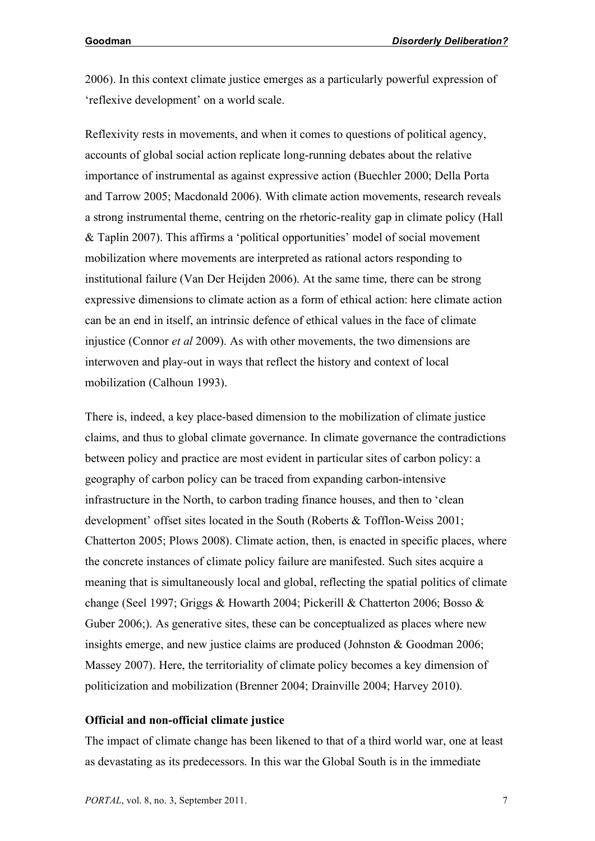2006). In this context climate justice emerges as a particularly powerful expression of 'reflexive development' on a world scale.

Reflexivity rests in movements, and when it comes to questions of political agency, accounts of global social action replicate long-running debates about the relative importance of instrumental as against expressive action (Buechler 2000; Della Porta and Tarrow 2005; Macdonald 2006). With climate action movements, research reveals a strong instrumental theme, centring on the rhetoric-reality gap in climate policy (Hall & Taplin 2007). This affirms a 'political opportunities' model of social movement mobilization where movements are interpreted as rational actors responding to institutional failure (Van Der Heijden 2006). At the same time, there can be strong expressive dimensions to climate action as a form of ethical action: here climate action can be an end in itself, an intrinsic defence of ethical values in the face of climate injustice (Connor *et al* 2009). As with other movements, the two dimensions are interwoven and play-out in ways that reflect the history and context of local mobilization (Calhoun 1993).

There is, indeed, a key place-based dimension to the mobilization of climate justice claims, and thus to global climate governance. In climate governance the contradictions between policy and practice are most evident in particular sites of carbon policy: a geography of carbon policy can be traced from expanding carbon-intensive infrastructure in the North, to carbon trading finance houses, and then to 'clean development' offset sites located in the South (Roberts & Tofflon-Weiss 2001; Chatterton 2005; Plows 2008). Climate action, then, is enacted in specific places, where the concrete instances of climate policy failure are manifested. Such sites acquire a meaning that is simultaneously local and global, reflecting the spatial politics of climate change (Seel 1997; Griggs & Howarth 2004; Pickerill & Chatterton 2006; Bosso & Guber 2006;). As generative sites, these can be conceptualized as places where new insights emerge, and new justice claims are produced (Johnston & Goodman 2006; Massey 2007). Here, the territoriality of climate policy becomes a key dimension of politicization and mobilization (Brenner 2004; Drainville 2004; Harvey 2010).

### **Official and non-official climate justice**

The impact of climate change has been likened to that of a third world war, one at least as devastating as its predecessors. In this war the Global South is in the immediate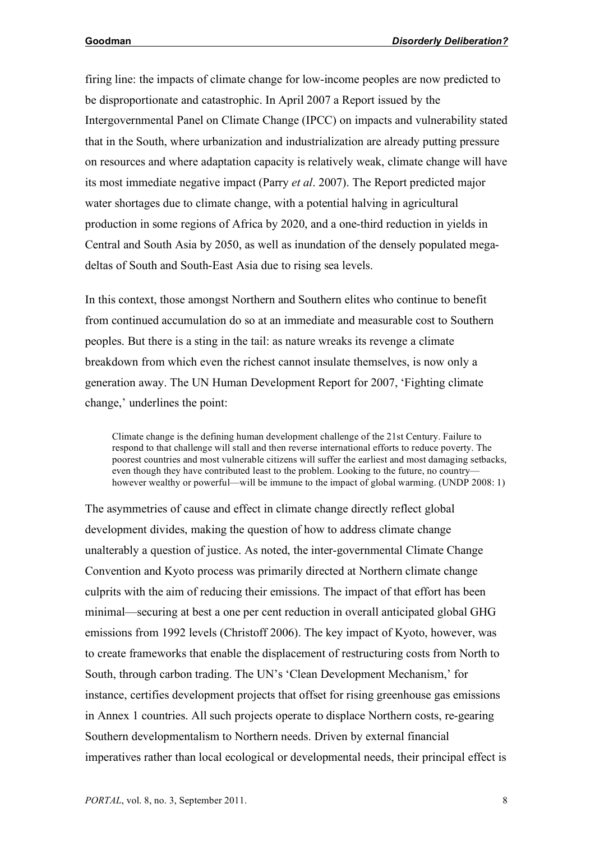firing line: the impacts of climate change for low-income peoples are now predicted to be disproportionate and catastrophic. In April 2007 a Report issued by the Intergovernmental Panel on Climate Change (IPCC) on impacts and vulnerability stated that in the South, where urbanization and industrialization are already putting pressure on resources and where adaptation capacity is relatively weak, climate change will have its most immediate negative impact (Parry *et al*. 2007). The Report predicted major water shortages due to climate change, with a potential halving in agricultural production in some regions of Africa by 2020, and a one-third reduction in yields in Central and South Asia by 2050, as well as inundation of the densely populated megadeltas of South and South-East Asia due to rising sea levels.

In this context, those amongst Northern and Southern elites who continue to benefit from continued accumulation do so at an immediate and measurable cost to Southern peoples. But there is a sting in the tail: as nature wreaks its revenge a climate breakdown from which even the richest cannot insulate themselves, is now only a generation away. The UN Human Development Report for 2007, 'Fighting climate change,' underlines the point:

Climate change is the defining human development challenge of the 21st Century. Failure to respond to that challenge will stall and then reverse international efforts to reduce poverty. The poorest countries and most vulnerable citizens will suffer the earliest and most damaging setbacks, even though they have contributed least to the problem. Looking to the future, no country however wealthy or powerful—will be immune to the impact of global warming. (UNDP 2008: 1)

The asymmetries of cause and effect in climate change directly reflect global development divides, making the question of how to address climate change unalterably a question of justice. As noted, the inter-governmental Climate Change Convention and Kyoto process was primarily directed at Northern climate change culprits with the aim of reducing their emissions. The impact of that effort has been minimal—securing at best a one per cent reduction in overall anticipated global GHG emissions from 1992 levels (Christoff 2006). The key impact of Kyoto, however, was to create frameworks that enable the displacement of restructuring costs from North to South, through carbon trading. The UN's 'Clean Development Mechanism,' for instance, certifies development projects that offset for rising greenhouse gas emissions in Annex 1 countries. All such projects operate to displace Northern costs, re-gearing Southern developmentalism to Northern needs. Driven by external financial imperatives rather than local ecological or developmental needs, their principal effect is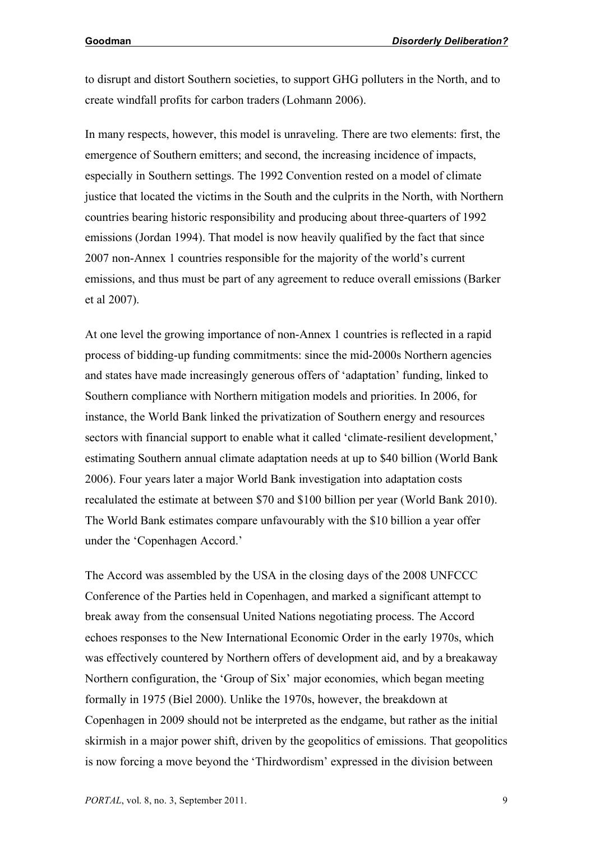to disrupt and distort Southern societies, to support GHG polluters in the North, and to create windfall profits for carbon traders (Lohmann 2006).

In many respects, however, this model is unraveling. There are two elements: first, the emergence of Southern emitters; and second, the increasing incidence of impacts, especially in Southern settings. The 1992 Convention rested on a model of climate justice that located the victims in the South and the culprits in the North, with Northern countries bearing historic responsibility and producing about three-quarters of 1992 emissions (Jordan 1994). That model is now heavily qualified by the fact that since 2007 non-Annex 1 countries responsible for the majority of the world's current emissions, and thus must be part of any agreement to reduce overall emissions (Barker et al 2007).

At one level the growing importance of non-Annex 1 countries is reflected in a rapid process of bidding-up funding commitments: since the mid-2000s Northern agencies and states have made increasingly generous offers of 'adaptation' funding, linked to Southern compliance with Northern mitigation models and priorities. In 2006, for instance, the World Bank linked the privatization of Southern energy and resources sectors with financial support to enable what it called 'climate-resilient development,' estimating Southern annual climate adaptation needs at up to \$40 billion (World Bank 2006). Four years later a major World Bank investigation into adaptation costs recalulated the estimate at between \$70 and \$100 billion per year (World Bank 2010). The World Bank estimates compare unfavourably with the \$10 billion a year offer under the 'Copenhagen Accord.'

The Accord was assembled by the USA in the closing days of the 2008 UNFCCC Conference of the Parties held in Copenhagen, and marked a significant attempt to break away from the consensual United Nations negotiating process. The Accord echoes responses to the New International Economic Order in the early 1970s, which was effectively countered by Northern offers of development aid, and by a breakaway Northern configuration, the 'Group of Six' major economies, which began meeting formally in 1975 (Biel 2000). Unlike the 1970s, however, the breakdown at Copenhagen in 2009 should not be interpreted as the endgame, but rather as the initial skirmish in a major power shift, driven by the geopolitics of emissions. That geopolitics is now forcing a move beyond the 'Thirdwordism' expressed in the division between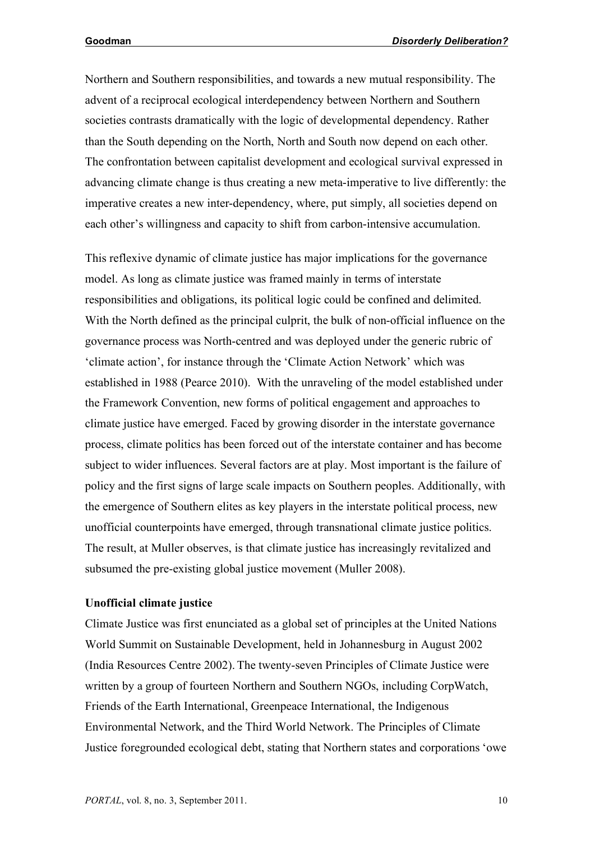Northern and Southern responsibilities, and towards a new mutual responsibility. The advent of a reciprocal ecological interdependency between Northern and Southern societies contrasts dramatically with the logic of developmental dependency. Rather than the South depending on the North, North and South now depend on each other. The confrontation between capitalist development and ecological survival expressed in advancing climate change is thus creating a new meta-imperative to live differently: the imperative creates a new inter-dependency, where, put simply, all societies depend on each other's willingness and capacity to shift from carbon-intensive accumulation.

This reflexive dynamic of climate justice has major implications for the governance model. As long as climate justice was framed mainly in terms of interstate responsibilities and obligations, its political logic could be confined and delimited. With the North defined as the principal culprit, the bulk of non-official influence on the governance process was North-centred and was deployed under the generic rubric of 'climate action', for instance through the 'Climate Action Network' which was established in 1988 (Pearce 2010). With the unraveling of the model established under the Framework Convention, new forms of political engagement and approaches to climate justice have emerged. Faced by growing disorder in the interstate governance process, climate politics has been forced out of the interstate container and has become subject to wider influences. Several factors are at play. Most important is the failure of policy and the first signs of large scale impacts on Southern peoples. Additionally, with the emergence of Southern elites as key players in the interstate political process, new unofficial counterpoints have emerged, through transnational climate justice politics. The result, at Muller observes, is that climate justice has increasingly revitalized and subsumed the pre-existing global justice movement (Muller 2008).

### **Unofficial climate justice**

Climate Justice was first enunciated as a global set of principles at the United Nations World Summit on Sustainable Development, held in Johannesburg in August 2002 (India Resources Centre 2002). The twenty-seven Principles of Climate Justice were written by a group of fourteen Northern and Southern NGOs, including CorpWatch, Friends of the Earth International, Greenpeace International, the Indigenous Environmental Network, and the Third World Network. The Principles of Climate Justice foregrounded ecological debt, stating that Northern states and corporations 'owe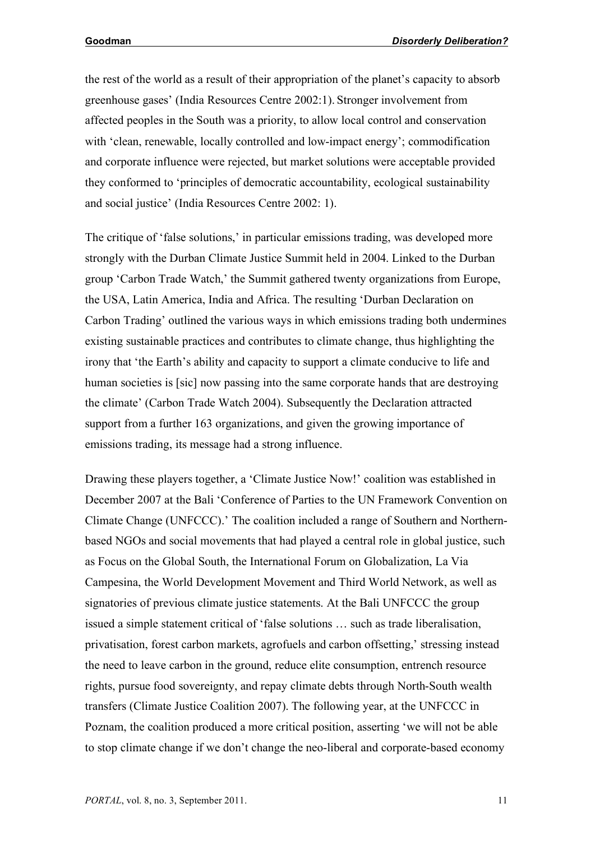the rest of the world as a result of their appropriation of the planet's capacity to absorb greenhouse gases' (India Resources Centre 2002:1). Stronger involvement from affected peoples in the South was a priority, to allow local control and conservation with 'clean, renewable, locally controlled and low-impact energy'; commodification and corporate influence were rejected, but market solutions were acceptable provided they conformed to 'principles of democratic accountability, ecological sustainability and social justice' (India Resources Centre 2002: 1).

The critique of 'false solutions,' in particular emissions trading, was developed more strongly with the Durban Climate Justice Summit held in 2004. Linked to the Durban group 'Carbon Trade Watch,' the Summit gathered twenty organizations from Europe, the USA, Latin America, India and Africa. The resulting 'Durban Declaration on Carbon Trading' outlined the various ways in which emissions trading both undermines existing sustainable practices and contributes to climate change, thus highlighting the irony that 'the Earth's ability and capacity to support a climate conducive to life and human societies is [sic] now passing into the same corporate hands that are destroying the climate' (Carbon Trade Watch 2004). Subsequently the Declaration attracted support from a further 163 organizations, and given the growing importance of emissions trading, its message had a strong influence.

Drawing these players together, a 'Climate Justice Now!' coalition was established in December 2007 at the Bali 'Conference of Parties to the UN Framework Convention on Climate Change (UNFCCC).' The coalition included a range of Southern and Northernbased NGOs and social movements that had played a central role in global justice, such as Focus on the Global South, the International Forum on Globalization, La Via Campesina, the World Development Movement and Third World Network, as well as signatories of previous climate justice statements. At the Bali UNFCCC the group issued a simple statement critical of 'false solutions … such as trade liberalisation, privatisation, forest carbon markets, agrofuels and carbon offsetting,' stressing instead the need to leave carbon in the ground, reduce elite consumption, entrench resource rights, pursue food sovereignty, and repay climate debts through North-South wealth transfers (Climate Justice Coalition 2007). The following year, at the UNFCCC in Poznam, the coalition produced a more critical position, asserting 'we will not be able to stop climate change if we don't change the neo-liberal and corporate-based economy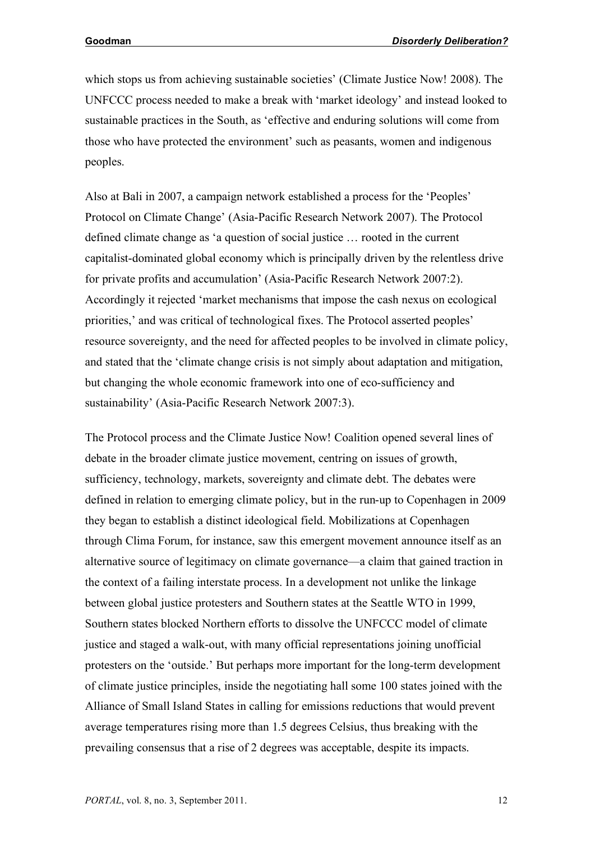which stops us from achieving sustainable societies' (Climate Justice Now! 2008). The UNFCCC process needed to make a break with 'market ideology' and instead looked to sustainable practices in the South, as 'effective and enduring solutions will come from those who have protected the environment' such as peasants, women and indigenous peoples.

Also at Bali in 2007, a campaign network established a process for the 'Peoples' Protocol on Climate Change' (Asia-Pacific Research Network 2007). The Protocol defined climate change as 'a question of social justice … rooted in the current capitalist-dominated global economy which is principally driven by the relentless drive for private profits and accumulation' (Asia-Pacific Research Network 2007:2). Accordingly it rejected 'market mechanisms that impose the cash nexus on ecological priorities,' and was critical of technological fixes. The Protocol asserted peoples' resource sovereignty, and the need for affected peoples to be involved in climate policy, and stated that the 'climate change crisis is not simply about adaptation and mitigation, but changing the whole economic framework into one of eco-sufficiency and sustainability' (Asia-Pacific Research Network 2007:3).

The Protocol process and the Climate Justice Now! Coalition opened several lines of debate in the broader climate justice movement, centring on issues of growth, sufficiency, technology, markets, sovereignty and climate debt. The debates were defined in relation to emerging climate policy, but in the run-up to Copenhagen in 2009 they began to establish a distinct ideological field. Mobilizations at Copenhagen through Clima Forum, for instance, saw this emergent movement announce itself as an alternative source of legitimacy on climate governance—a claim that gained traction in the context of a failing interstate process. In a development not unlike the linkage between global justice protesters and Southern states at the Seattle WTO in 1999, Southern states blocked Northern efforts to dissolve the UNFCCC model of climate justice and staged a walk-out, with many official representations joining unofficial protesters on the 'outside.' But perhaps more important for the long-term development of climate justice principles, inside the negotiating hall some 100 states joined with the Alliance of Small Island States in calling for emissions reductions that would prevent average temperatures rising more than 1.5 degrees Celsius, thus breaking with the prevailing consensus that a rise of 2 degrees was acceptable, despite its impacts.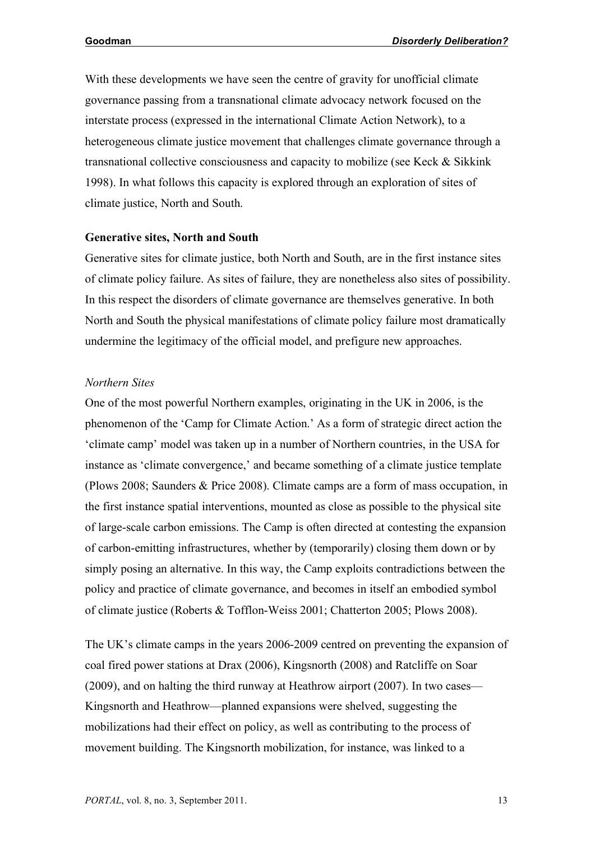With these developments we have seen the centre of gravity for unofficial climate governance passing from a transnational climate advocacy network focused on the interstate process (expressed in the international Climate Action Network), to a heterogeneous climate justice movement that challenges climate governance through a transnational collective consciousness and capacity to mobilize (see Keck & Sikkink 1998). In what follows this capacity is explored through an exploration of sites of climate justice, North and South.

#### **Generative sites, North and South**

Generative sites for climate justice, both North and South, are in the first instance sites of climate policy failure. As sites of failure, they are nonetheless also sites of possibility. In this respect the disorders of climate governance are themselves generative. In both North and South the physical manifestations of climate policy failure most dramatically undermine the legitimacy of the official model, and prefigure new approaches.

### *Northern Sites*

One of the most powerful Northern examples, originating in the UK in 2006, is the phenomenon of the 'Camp for Climate Action.' As a form of strategic direct action the 'climate camp' model was taken up in a number of Northern countries, in the USA for instance as 'climate convergence,' and became something of a climate justice template (Plows 2008; Saunders & Price 2008). Climate camps are a form of mass occupation, in the first instance spatial interventions, mounted as close as possible to the physical site of large-scale carbon emissions. The Camp is often directed at contesting the expansion of carbon-emitting infrastructures, whether by (temporarily) closing them down or by simply posing an alternative. In this way, the Camp exploits contradictions between the policy and practice of climate governance, and becomes in itself an embodied symbol of climate justice (Roberts & Tofflon-Weiss 2001; Chatterton 2005; Plows 2008).

The UK's climate camps in the years 2006-2009 centred on preventing the expansion of coal fired power stations at Drax (2006), Kingsnorth (2008) and Ratcliffe on Soar (2009), and on halting the third runway at Heathrow airport (2007). In two cases— Kingsnorth and Heathrow—planned expansions were shelved, suggesting the mobilizations had their effect on policy, as well as contributing to the process of movement building. The Kingsnorth mobilization, for instance, was linked to a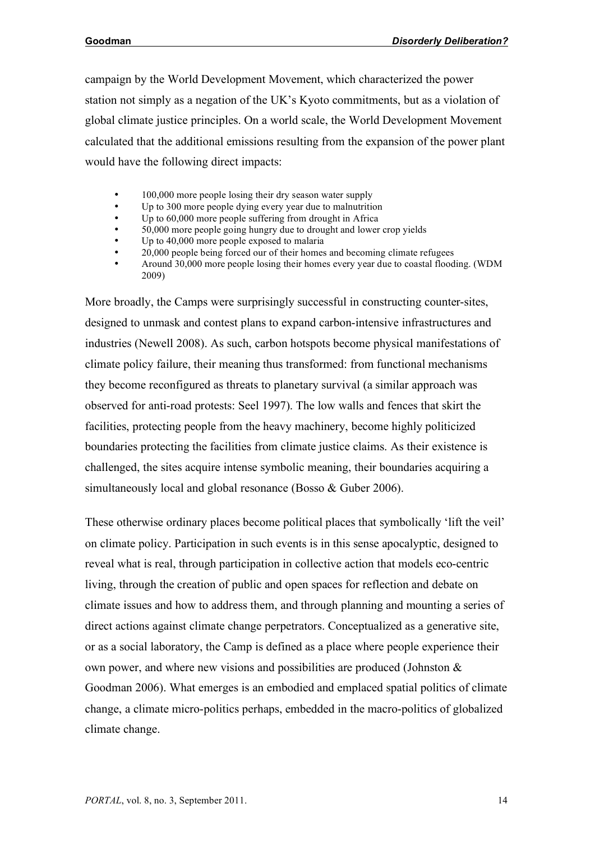campaign by the World Development Movement, which characterized the power station not simply as a negation of the UK's Kyoto commitments, but as a violation of global climate justice principles. On a world scale, the World Development Movement calculated that the additional emissions resulting from the expansion of the power plant would have the following direct impacts:

- 100,000 more people losing their dry season water supply
- Up to 300 more people dying every year due to malnutrition
- Up to 60,000 more people suffering from drought in Africa
- 50,000 more people going hungry due to drought and lower crop yields
- Up to 40,000 more people exposed to malaria
- 20,000 people being forced our of their homes and becoming climate refugees
- Around 30,000 more people losing their homes every year due to coastal flooding. (WDM 2009)

More broadly, the Camps were surprisingly successful in constructing counter-sites, designed to unmask and contest plans to expand carbon-intensive infrastructures and industries (Newell 2008). As such, carbon hotspots become physical manifestations of climate policy failure, their meaning thus transformed: from functional mechanisms they become reconfigured as threats to planetary survival (a similar approach was observed for anti-road protests: Seel 1997). The low walls and fences that skirt the facilities, protecting people from the heavy machinery, become highly politicized boundaries protecting the facilities from climate justice claims. As their existence is challenged, the sites acquire intense symbolic meaning, their boundaries acquiring a simultaneously local and global resonance (Bosso & Guber 2006).

These otherwise ordinary places become political places that symbolically 'lift the veil' on climate policy. Participation in such events is in this sense apocalyptic, designed to reveal what is real, through participation in collective action that models eco-centric living, through the creation of public and open spaces for reflection and debate on climate issues and how to address them, and through planning and mounting a series of direct actions against climate change perpetrators. Conceptualized as a generative site, or as a social laboratory, the Camp is defined as a place where people experience their own power, and where new visions and possibilities are produced (Johnston & Goodman 2006). What emerges is an embodied and emplaced spatial politics of climate change, a climate micro-politics perhaps, embedded in the macro-politics of globalized climate change.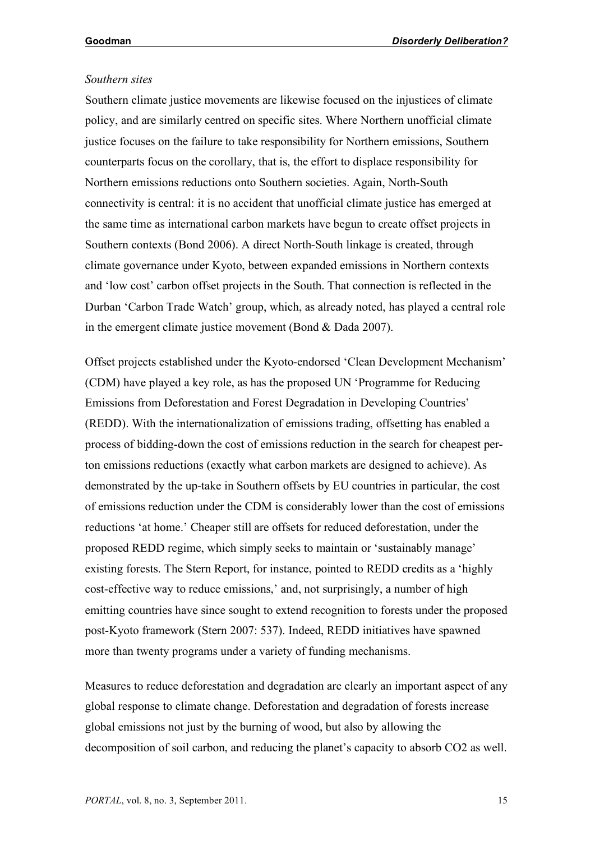#### *Southern sites*

Southern climate justice movements are likewise focused on the injustices of climate policy, and are similarly centred on specific sites. Where Northern unofficial climate justice focuses on the failure to take responsibility for Northern emissions, Southern counterparts focus on the corollary, that is, the effort to displace responsibility for Northern emissions reductions onto Southern societies. Again, North-South connectivity is central: it is no accident that unofficial climate justice has emerged at the same time as international carbon markets have begun to create offset projects in Southern contexts (Bond 2006). A direct North-South linkage is created, through climate governance under Kyoto, between expanded emissions in Northern contexts and 'low cost' carbon offset projects in the South. That connection is reflected in the Durban 'Carbon Trade Watch' group, which, as already noted, has played a central role in the emergent climate justice movement (Bond & Dada 2007).

Offset projects established under the Kyoto-endorsed 'Clean Development Mechanism' (CDM) have played a key role, as has the proposed UN 'Programme for Reducing Emissions from Deforestation and Forest Degradation in Developing Countries' (REDD). With the internationalization of emissions trading, offsetting has enabled a process of bidding-down the cost of emissions reduction in the search for cheapest perton emissions reductions (exactly what carbon markets are designed to achieve). As demonstrated by the up-take in Southern offsets by EU countries in particular, the cost of emissions reduction under the CDM is considerably lower than the cost of emissions reductions 'at home.' Cheaper still are offsets for reduced deforestation, under the proposed REDD regime, which simply seeks to maintain or 'sustainably manage' existing forests. The Stern Report, for instance, pointed to REDD credits as a 'highly cost-effective way to reduce emissions,' and, not surprisingly, a number of high emitting countries have since sought to extend recognition to forests under the proposed post-Kyoto framework (Stern 2007: 537). Indeed, REDD initiatives have spawned more than twenty programs under a variety of funding mechanisms.

Measures to reduce deforestation and degradation are clearly an important aspect of any global response to climate change. Deforestation and degradation of forests increase global emissions not just by the burning of wood, but also by allowing the decomposition of soil carbon, and reducing the planet's capacity to absorb CO2 as well.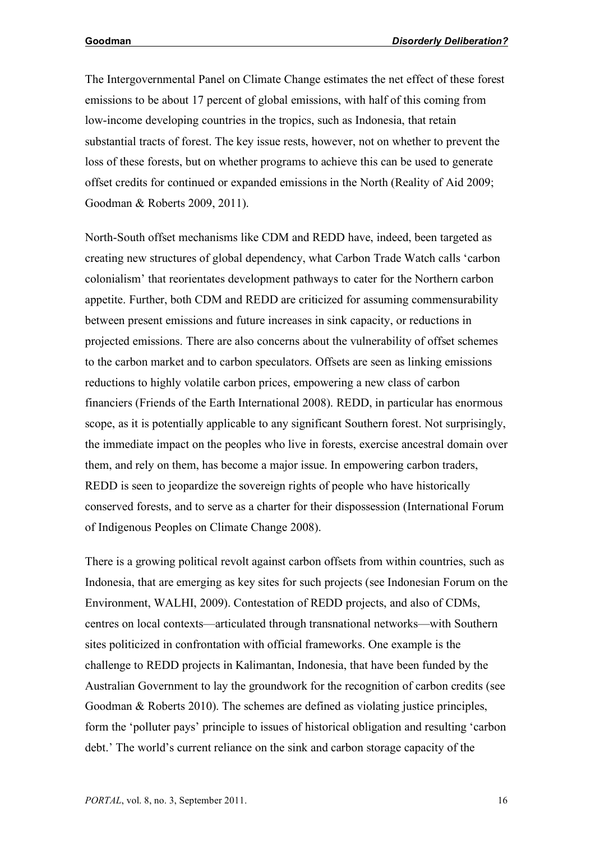The Intergovernmental Panel on Climate Change estimates the net effect of these forest emissions to be about 17 percent of global emissions, with half of this coming from low-income developing countries in the tropics, such as Indonesia, that retain substantial tracts of forest. The key issue rests, however, not on whether to prevent the loss of these forests, but on whether programs to achieve this can be used to generate offset credits for continued or expanded emissions in the North (Reality of Aid 2009; Goodman & Roberts 2009, 2011).

North-South offset mechanisms like CDM and REDD have, indeed, been targeted as creating new structures of global dependency, what Carbon Trade Watch calls 'carbon colonialism' that reorientates development pathways to cater for the Northern carbon appetite. Further, both CDM and REDD are criticized for assuming commensurability between present emissions and future increases in sink capacity, or reductions in projected emissions. There are also concerns about the vulnerability of offset schemes to the carbon market and to carbon speculators. Offsets are seen as linking emissions reductions to highly volatile carbon prices, empowering a new class of carbon financiers (Friends of the Earth International 2008). REDD, in particular has enormous scope, as it is potentially applicable to any significant Southern forest. Not surprisingly, the immediate impact on the peoples who live in forests, exercise ancestral domain over them, and rely on them, has become a major issue. In empowering carbon traders, REDD is seen to jeopardize the sovereign rights of people who have historically conserved forests, and to serve as a charter for their dispossession (International Forum of Indigenous Peoples on Climate Change 2008).

There is a growing political revolt against carbon offsets from within countries, such as Indonesia, that are emerging as key sites for such projects (see Indonesian Forum on the Environment, WALHI, 2009). Contestation of REDD projects, and also of CDMs, centres on local contexts—articulated through transnational networks—with Southern sites politicized in confrontation with official frameworks. One example is the challenge to REDD projects in Kalimantan, Indonesia, that have been funded by the Australian Government to lay the groundwork for the recognition of carbon credits (see Goodman & Roberts 2010). The schemes are defined as violating justice principles, form the 'polluter pays' principle to issues of historical obligation and resulting 'carbon debt.' The world's current reliance on the sink and carbon storage capacity of the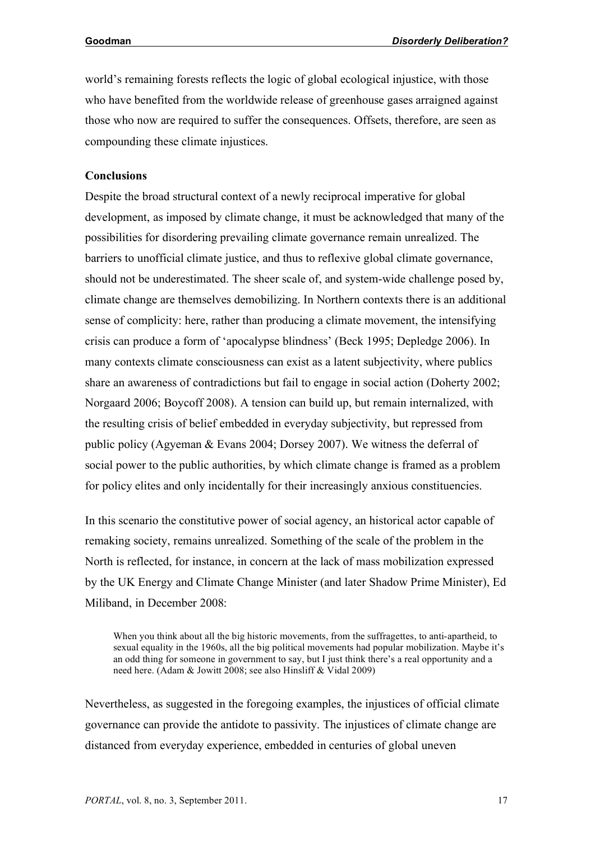world's remaining forests reflects the logic of global ecological injustice, with those who have benefited from the worldwide release of greenhouse gases arraigned against those who now are required to suffer the consequences. Offsets, therefore, are seen as compounding these climate injustices.

## **Conclusions**

Despite the broad structural context of a newly reciprocal imperative for global development, as imposed by climate change, it must be acknowledged that many of the possibilities for disordering prevailing climate governance remain unrealized. The barriers to unofficial climate justice, and thus to reflexive global climate governance, should not be underestimated. The sheer scale of, and system-wide challenge posed by, climate change are themselves demobilizing. In Northern contexts there is an additional sense of complicity: here, rather than producing a climate movement, the intensifying crisis can produce a form of 'apocalypse blindness' (Beck 1995; Depledge 2006). In many contexts climate consciousness can exist as a latent subjectivity, where publics share an awareness of contradictions but fail to engage in social action (Doherty 2002; Norgaard 2006; Boycoff 2008). A tension can build up, but remain internalized, with the resulting crisis of belief embedded in everyday subjectivity, but repressed from public policy (Agyeman & Evans 2004; Dorsey 2007). We witness the deferral of social power to the public authorities, by which climate change is framed as a problem for policy elites and only incidentally for their increasingly anxious constituencies.

In this scenario the constitutive power of social agency, an historical actor capable of remaking society, remains unrealized. Something of the scale of the problem in the North is reflected, for instance, in concern at the lack of mass mobilization expressed by the UK Energy and Climate Change Minister (and later Shadow Prime Minister), Ed Miliband, in December 2008:

When you think about all the big historic movements, from the suffragettes, to anti-apartheid, to sexual equality in the 1960s, all the big political movements had popular mobilization. Maybe it's an odd thing for someone in government to say, but I just think there's a real opportunity and a need here. (Adam & Jowitt 2008; see also Hinsliff & Vidal 2009)

Nevertheless, as suggested in the foregoing examples, the injustices of official climate governance can provide the antidote to passivity. The injustices of climate change are distanced from everyday experience, embedded in centuries of global uneven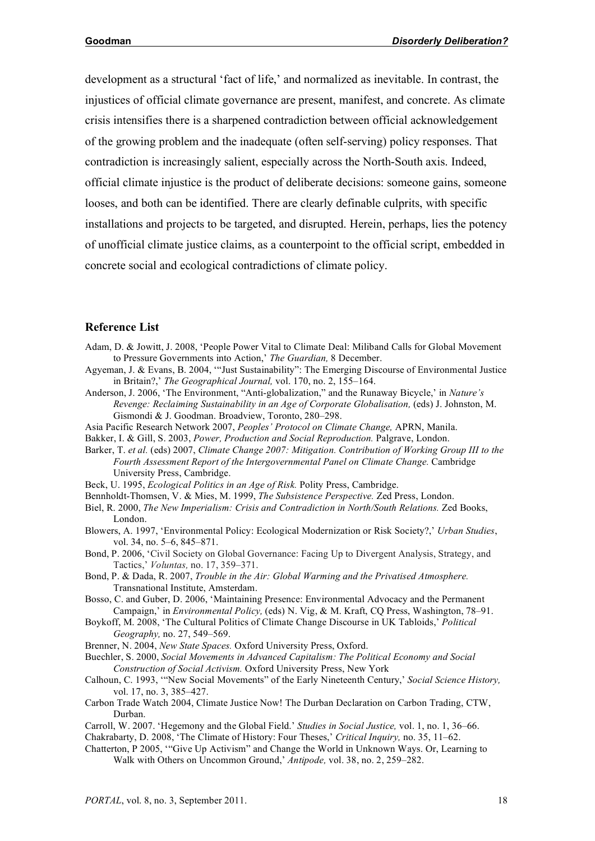development as a structural 'fact of life,' and normalized as inevitable. In contrast, the injustices of official climate governance are present, manifest, and concrete. As climate crisis intensifies there is a sharpened contradiction between official acknowledgement of the growing problem and the inadequate (often self-serving) policy responses. That contradiction is increasingly salient, especially across the North-South axis. Indeed, official climate injustice is the product of deliberate decisions: someone gains, someone looses, and both can be identified. There are clearly definable culprits, with specific installations and projects to be targeted, and disrupted. Herein, perhaps, lies the potency of unofficial climate justice claims, as a counterpoint to the official script, embedded in concrete social and ecological contradictions of climate policy.

#### **Reference List**

- Adam, D. & Jowitt, J. 2008, 'People Power Vital to Climate Deal: Miliband Calls for Global Movement to Pressure Governments into Action,' *The Guardian,* 8 December.
- Agyeman, J. & Evans, B. 2004, '"Just Sustainability": The Emerging Discourse of Environmental Justice in Britain?,' *The Geographical Journal,* vol. 170, no. 2, 155–164.
- Anderson, J. 2006, 'The Environment, "Anti-globalization," and the Runaway Bicycle,' in *Nature's Revenge: Reclaiming Sustainability in an Age of Corporate Globalisation,* (eds) J. Johnston, M. Gismondi & J. Goodman. Broadview, Toronto, 280–298.
- Asia Pacific Research Network 2007, *Peoples' Protocol on Climate Change,* APRN, Manila.
- Bakker, I. & Gill, S. 2003, *Power, Production and Social Reproduction.* Palgrave, London.
- Barker, T. *et al.* (eds) 2007, *Climate Change 2007: Mitigation. Contribution of Working Group III to the Fourth Assessment Report of the Intergovernmental Panel on Climate Change.* Cambridge University Press, Cambridge.
- Beck, U. 1995, *Ecological Politics in an Age of Risk.* Polity Press, Cambridge.
- Bennholdt-Thomsen, V. & Mies, M. 1999, *The Subsistence Perspective.* Zed Press, London.
- Biel, R. 2000, *The New Imperialism: Crisis and Contradiction in North/South Relations.* Zed Books, London.
- Blowers, A. 1997, 'Environmental Policy: Ecological Modernization or Risk Society?,' *Urban Studies*, vol. 34, no. 5–6, 845–871.
- Bond, P. 2006, 'Civil Society on Global Governance: Facing Up to Divergent Analysis, Strategy, and Tactics,' *Voluntas,* no. 17, 359–371.
- Bond, P. & Dada, R. 2007, *Trouble in the Air: Global Warming and the Privatised Atmosphere.* Transnational Institute, Amsterdam.
- Bosso, C. and Guber, D. 2006, 'Maintaining Presence: Environmental Advocacy and the Permanent Campaign,' in *Environmental Policy,* (eds) N. Vig, & M. Kraft, CQ Press, Washington, 78–91.
- Boykoff, M. 2008, 'The Cultural Politics of Climate Change Discourse in UK Tabloids,' *Political Geography,* no. 27, 549–569.
- Brenner, N. 2004, *New State Spaces.* Oxford University Press, Oxford.
- Buechler, S. 2000, *Social Movements in Advanced Capitalism: The Political Economy and Social Construction of Social Activism.* Oxford University Press, New York
- Calhoun, C. 1993, '"New Social Movements" of the Early Nineteenth Century,' *Social Science History,* vol. 17, no. 3, 385–427.
- Carbon Trade Watch 2004, Climate Justice Now! The Durban Declaration on Carbon Trading, CTW, Durban.
- Carroll, W. 2007. 'Hegemony and the Global Field.' *Studies in Social Justice,* vol. 1, no. 1, 36–66. Chakrabarty, D. 2008, 'The Climate of History: Four Theses,' *Critical Inquiry,* no. 35, 11–62.
- Chatterton, P 2005, '"Give Up Activism" and Change the World in Unknown Ways. Or, Learning to Walk with Others on Uncommon Ground,' *Antipode,* vol. 38, no. 2, 259–282.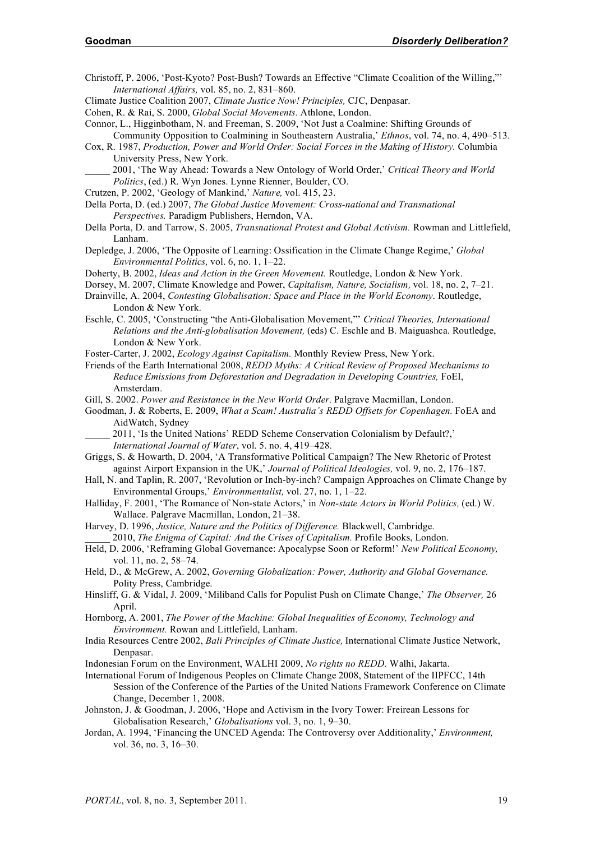Christoff, P. 2006, 'Post-Kyoto? Post-Bush? Towards an Effective "Climate Ccoalition of the Willing,"' *International Affairs,* vol. 85, no. 2, 831–860.

Climate Justice Coalition 2007, *Climate Justice Now! Principles,* CJC, Denpasar.

Cohen, R. & Rai, S. 2000, *Global Social Movements.* Athlone, London.

- Connor, L., Higginbotham, N. and Freeman, S. 2009, 'Not Just a Coalmine: Shifting Grounds of Community Opposition to Coalmining in Southeastern Australia,' *Ethnos*, vol. 74, no. 4, 490–513.
- Cox, R. 1987, *Production, Power and World Order: Social Forces in the Making of History.* Columbia University Press, New York.

\_\_\_\_\_ 2001, 'The Way Ahead: Towards a New Ontology of World Order,' *Critical Theory and World Politics*, (ed.) R. Wyn Jones. Lynne Rienner, Boulder, CO.

- Crutzen, P. 2002, 'Geology of Mankind,' *Nature,* vol. 415, 23.
- Della Porta, D. (ed.) 2007, *The Global Justice Movement: Cross-national and Transnational Perspectives.* Paradigm Publishers, Herndon, VA.
- Della Porta, D. and Tarrow, S. 2005, *Transnational Protest and Global Activism.* Rowman and Littlefield, Lanham.
- Depledge, J. 2006, 'The Opposite of Learning: Ossification in the Climate Change Regime,' *Global Environmental Politics,* vol. 6, no. 1, 1–22.
- Doherty, B. 2002, *Ideas and Action in the Green Movement.* Routledge, London & New York.
- Dorsey, M. 2007, Climate Knowledge and Power, *Capitalism, Nature, Socialism,* vol. 18, no. 2, 7–21.
- Drainville, A. 2004, *Contesting Globalisation: Space and Place in the World Economy*. Routledge, London & New York.
- Eschle, C. 2005, 'Constructing "the Anti-Globalisation Movement,"' *Critical Theories, International Relations and the Anti-globalisation Movement,* (eds) C. Eschle and B. Maiguashca. Routledge, London & New York.
- Foster-Carter, J. 2002, *Ecology Against Capitalism.* Monthly Review Press, New York.
- Friends of the Earth International 2008, *REDD Myths: A Critical Review of Proposed Mechanisms to Reduce Emissions from Deforestation and Degradation in Developing Countries,* FoEI, Amsterdam.
- Gill, S. 2002. *Power and Resistance in the New World Order.* Palgrave Macmillan, London.
- Goodman, J. & Roberts, E. 2009, *What a Scam! Australia's REDD Offsets for Copenhagen.* FoEA and AidWatch, Sydney
	- \_\_\_\_\_ 2011, 'Is the United Nations' REDD Scheme Conservation Colonialism by Default?,' *International Journal of Water*, vol. 5. no. 4, 419–428.
- Griggs, S. & Howarth, D. 2004, 'A Transformative Political Campaign? The New Rhetoric of Protest against Airport Expansion in the UK,' *Journal of Political Ideologies,* vol. 9, no. 2, 176–187.
- Hall, N. and Taplin, R. 2007, 'Revolution or Inch-by-inch? Campaign Approaches on Climate Change by Environmental Groups,' *Environmentalist,* vol. 27, no. 1, 1–22.
- Halliday, F. 2001, 'The Romance of Non-state Actors,' in *Non-state Actors in World Politics,* (ed.) W. Wallace. Palgrave Macmillan, London, 21–38.
- Harvey, D. 1996, *Justice, Nature and the Politics of Difference.* Blackwell, Cambridge. \_\_\_\_\_ 2010, *The Enigma of Capital: And the Crises of Capitalism.* Profile Books, London.
- Held, D. 2006, 'Reframing Global Governance: Apocalypse Soon or Reform!' *New Political Economy,* vol. 11, no. 2, 58–74.
- Held, D., & McGrew, A. 2002, *Governing Globalization: Power, Authority and Global Governance.*  Polity Press, Cambridge.
- Hinsliff, G. & Vidal, J. 2009, 'Miliband Calls for Populist Push on Climate Change,' *The Observer,* 26 April.
- Hornborg, A. 2001, *The Power of the Machine: Global Inequalities of Economy, Technology and Environment.* Rowan and Littlefield, Lanham.
- India Resources Centre 2002, *Bali Principles of Climate Justice,* International Climate Justice Network, Denpasar.
- Indonesian Forum on the Environment, WALHI 2009, *No rights no REDD.* Walhi, Jakarta.
- International Forum of Indigenous Peoples on Climate Change 2008, Statement of the IIPFCC, 14th Session of the Conference of the Parties of the United Nations Framework Conference on Climate Change, December 1, 2008.
- Johnston, J. & Goodman, J. 2006, 'Hope and Activism in the Ivory Tower: Freirean Lessons for Globalisation Research,' *Globalisations* vol. 3, no. 1, 9–30.
- Jordan, A. 1994, 'Financing the UNCED Agenda: The Controversy over Additionality,' *Environment,* vol. 36, no. 3, 16–30.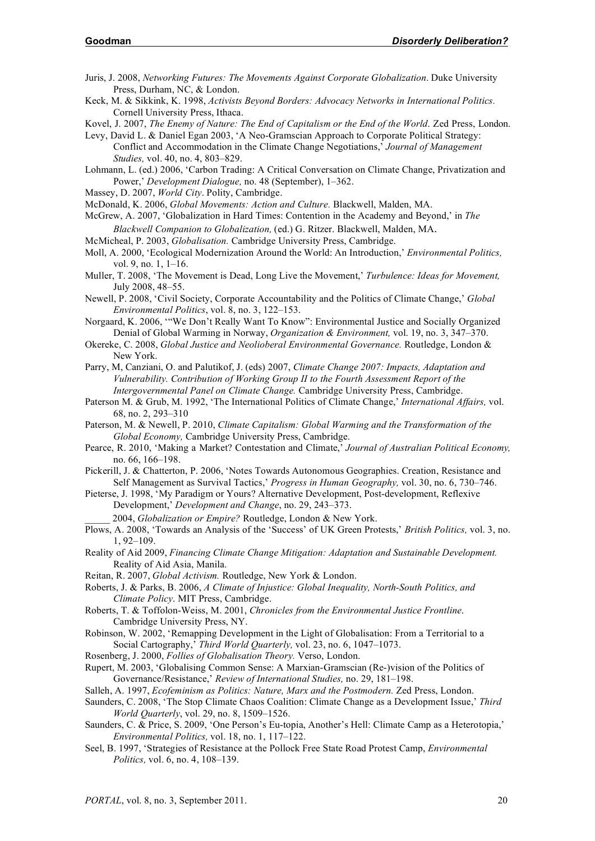- Juris, J. 2008, *Networking Futures: The Movements Against Corporate Globalization*. Duke University Press, Durham, NC, & London.
- Keck, M. & Sikkink, K. 1998, *Activists Beyond Borders: Advocacy Networks in International Politics.* Cornell University Press, Ithaca.

Kovel, J. 2007, *The Enemy of Nature: The End of Capitalism or the End of the World*. Zed Press, London.

- Levy, David L. & Daniel Egan 2003, 'A Neo-Gramscian Approach to Corporate Political Strategy: Conflict and Accommodation in the Climate Change Negotiations,' *Journal of Management Studies,* vol. 40, no. 4, 803–829.
- Lohmann, L. (ed.) 2006, 'Carbon Trading: A Critical Conversation on Climate Change, Privatization and Power,' *Development Dialogue,* no. 48 (September), 1–362.
- Massey, D. 2007, *World City*. Polity, Cambridge.

McDonald, K. 2006, *Global Movements: Action and Culture.* Blackwell, Malden, MA.

- McGrew, A. 2007, 'Globalization in Hard Times: Contention in the Academy and Beyond,' in *The Blackwell Companion to Globalization,* (ed.) G. Ritzer. Blackwell, Malden, MA.
- McMicheal, P. 2003, *Globalisation.* Cambridge University Press, Cambridge.
- Moll, A. 2000, 'Ecological Modernization Around the World: An Introduction,' *Environmental Politics,* vol. 9, no. 1, 1–16.
- Muller, T. 2008, 'The Movement is Dead, Long Live the Movement,' *Turbulence: Ideas for Movement,* July 2008, 48–55.
- Newell, P. 2008, 'Civil Society, Corporate Accountability and the Politics of Climate Change,' *Global Environmental Politics*, vol. 8, no. 3, 122–153.
- Norgaard, K. 2006, '"We Don't Really Want To Know": Environmental Justice and Socially Organized Denial of Global Warming in Norway, *Organization & Environment,* vol. 19, no. 3, 347–370.
- Okereke, C. 2008, *Global Justice and Neolioberal Environmental Governance.* Routledge, London & New York.
- Parry, M, Canziani, O. and Palutikof, J. (eds) 2007, *Climate Change 2007: Impacts, Adaptation and Vulnerability. Contribution of Working Group II to the Fourth Assessment Report of the Intergovernmental Panel on Climate Change.* Cambridge University Press, Cambridge.
- Paterson M. & Grub, M. 1992, 'The International Politics of Climate Change,' *International Affairs,* vol. 68, no. 2, 293–310
- Paterson, M. & Newell, P. 2010, *Climate Capitalism: Global Warming and the Transformation of the Global Economy,* Cambridge University Press, Cambridge.
- Pearce, R. 2010, 'Making a Market? Contestation and Climate,' *Journal of Australian Political Economy,* no. 66, 166–198.
- Pickerill, J. & Chatterton, P. 2006, 'Notes Towards Autonomous Geographies. Creation, Resistance and Self Management as Survival Tactics,' *Progress in Human Geography,* vol. 30, no. 6, 730–746.
- Pieterse, J. 1998, 'My Paradigm or Yours? Alternative Development, Post-development, Reflexive Development,' *Development and Change*, no. 29, 243–373.
	- \_\_\_\_\_ 2004, *Globalization or Empire?* Routledge, London & New York.
- Plows, A. 2008, 'Towards an Analysis of the 'Success' of UK Green Protests,' *British Politics,* vol. 3, no. 1, 92–109.
- Reality of Aid 2009, *Financing Climate Change Mitigation: Adaptation and Sustainable Development.* Reality of Aid Asia, Manila.
- Reitan, R. 2007, *Global Activism.* Routledge, New York & London.
- Roberts, J. & Parks, B. 2006, *A Climate of Injustice: Global Inequality, North-South Politics, and Climate Policy*. MIT Press, Cambridge.
- Roberts, T. & Toffolon-Weiss, M. 2001, *Chronicles from the Environmental Justice Frontline*. Cambridge University Press, NY.
- Robinson, W. 2002, 'Remapping Development in the Light of Globalisation: From a Territorial to a Social Cartography,' *Third World Quarterly,* vol. 23, no. 6, 1047–1073.
- Rosenberg, J. 2000, *Follies of Globalisation Theory.* Verso, London.
- Rupert, M. 2003, 'Globalising Common Sense: A Marxian-Gramscian (Re-)vision of the Politics of Governance/Resistance,' *Review of International Studies,* no. 29, 181–198.
- Salleh, A. 1997, *Ecofeminism as Politics: Nature, Marx and the Postmodern.* Zed Press, London.
- Saunders, C. 2008, 'The Stop Climate Chaos Coalition: Climate Change as a Development Issue,' *Third World Quarterly*, vol. 29, no. 8, 1509–1526.
- Saunders, C. & Price, S. 2009, 'One Person's Eu-topia, Another's Hell: Climate Camp as a Heterotopia,' *Environmental Politics,* vol. 18, no. 1, 117–122.
- Seel, B. 1997, 'Strategies of Resistance at the Pollock Free State Road Protest Camp, *Environmental Politics,* vol. 6, no. 4, 108–139.